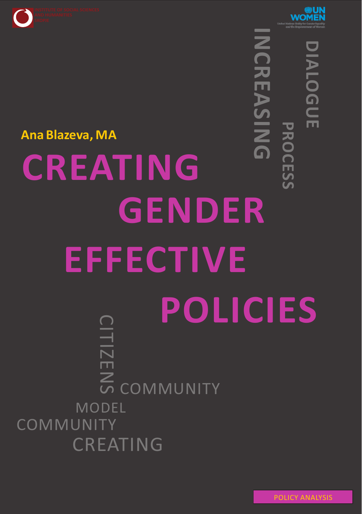



**NI**

**C R E A S**

# **P R O C E DIA L O G U E**

# **CREATING GENDER EFFECTIVE**  $\bf \Omega$ **POLICIES**  $\frac{1}{\mathsf{N}}$  $\Box$  $\overline{\mathcal{Z}}$  $\boldsymbol{\mathsf{S}}$ **NI G** <u> ဟ</u> <u>ဟ</u> MODEL COMMUNITY CREATING **COMMUNITY Ana Blazeva, MA**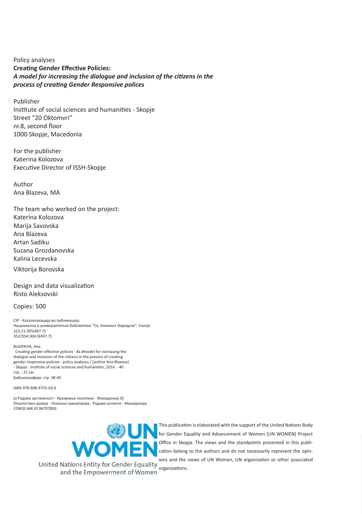Policy analyses **Creating Gender Effective Policies:**  *A model for increasing the dialogue and inclusion of the citizens in the process of creating Gender Responsive polices*

Publisher Institute of social sciences and humanities - Skopje Street "20 Oktomvri" nr.8, second floor 1000 Skopje, Macedonia

For the publisher Katerina Kolozova Executive Director of ISSH-Skopje

Author Ana Blazeva, MA

The team who worked on the project: Katerina Kolozova Marija Savovska Ana Blazeva Artan Sadiku Suzana Grozdanovska Kalina Lecevska Viktorija Borovska

Design and data visualization Risto Aleksovski

Copies: 500

CIP - Каталогизација во публикација Национална и универзитетска библиотека "Св. Климент Охридски", Скопје 323.21:305(497.7) 352/354:304.9(497.7)

BLAZHEVA, Ana

 Creating gender effective policies : #a #model for increasing the dialogue and inclusion of the citizens in the process of creating gender responsive policies : policy analyses / [author Ana Blazeva]. - Skopje : Institute of social sciences and humanities, 2014. - 40 стр. ; 21 см Библиографија: стр. 38-40

ISBN 978-608-4755-03-6

а) Родова застапеност - Креирање политика - Македонија б) Општествен развој - Локална самоуправа - Родови аспекти - Македонија COBISS.MK-ID 96707850



This publication is elaborated with the support of the United Nations Body **for Gender Equality and Advancement of Women (UN WOMEN)** Project Office in Skopje. The views and the standpoints presented in this publication belong to the authors and do not necessarily represent the opinions and the views of UN Women, UN organization or other associated

United Nations Entity for Gender Equality organizations. and the Empowerment of Women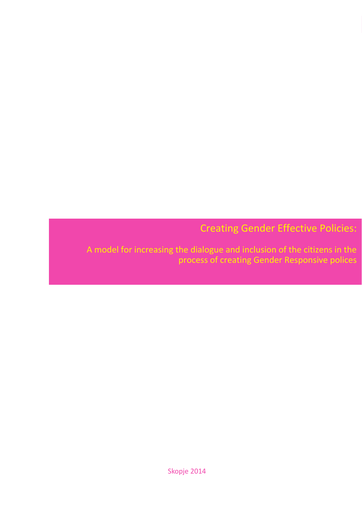Creating Gender Effective Policies:

Skopje 2014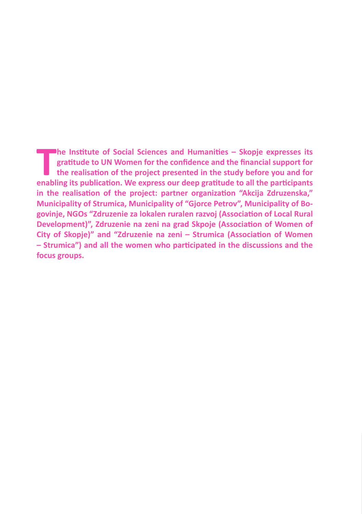**The Institute of Social Sciences and Humanities – Skopje expresses its gratitude to UN Women for the confidence and the financial support for the realisation of the project presented in the study before you and for enabli he Institute of Social Sciences and Humanities – Skopje expresses its gratitude to UN Women for the confidence and the financial support for the realisation of the project presented in the study before you and for in the realisation of the project: partner organization "Akcija Zdruzenska," Municipality of Strumica, Municipality of "Gjorce Petrov", Municipality of Bogovinje, NGOs "Zdruzenie za lokalen ruralen razvoj (Association of Local Rural Development)", Zdruzenie na zeni na grad Skpoje (Association of Women of City of Skopje)" and "Zdruzenie na zeni – Strumica (Association of Women – Strumica") and all the women who participated in the discussions and the focus groups.**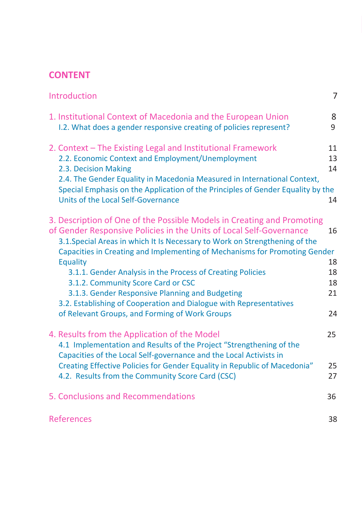# **CONTENT**

| Introduction                                                                                                                                                                                                                                                                                                                                  | 7                    |
|-----------------------------------------------------------------------------------------------------------------------------------------------------------------------------------------------------------------------------------------------------------------------------------------------------------------------------------------------|----------------------|
| 1. Institutional Context of Macedonia and the European Union<br>1.2. What does a gender responsive creating of policies represent?                                                                                                                                                                                                            | 8<br>9               |
| 2. Context - The Existing Legal and Institutional Framework<br>2.2. Economic Context and Employment/Unemployment<br>2.3. Decision Making<br>2.4. The Gender Equality in Macedonia Measured in International Context,<br>Special Emphasis on the Application of the Principles of Gender Equality by the<br>Units of the Local Self-Governance | 11<br>13<br>14<br>14 |
| 3. Description of One of the Possible Models in Creating and Promoting<br>of Gender Responsive Policies in the Units of Local Self-Governance<br>3.1. Special Areas in which It Is Necessary to Work on Strengthening of the<br>Capacities in Creating and Implementing of Mechanisms for Promoting Gender<br><b>Equality</b>                 | 16<br>18             |
| 3.1.1. Gender Analysis in the Process of Creating Policies<br>3.1.2. Community Score Card or CSC<br>3.1.3. Gender Responsive Planning and Budgeting<br>3.2. Establishing of Cooperation and Dialogue with Representatives<br>of Relevant Groups, and Forming of Work Groups                                                                   | 18<br>18<br>21<br>24 |
| 4. Results from the Application of the Model<br>4.1 Implementation and Results of the Project "Strengthening of the<br>Capacities of the Local Self-governance and the Local Activists in<br>Creating Effective Policies for Gender Equality in Republic of Macedonia"                                                                        | 25<br>25             |
| 4.2. Results from the Community Score Card (CSC)<br>5. Conclusions and Recommendations                                                                                                                                                                                                                                                        | 27<br>36             |
| References                                                                                                                                                                                                                                                                                                                                    | 38                   |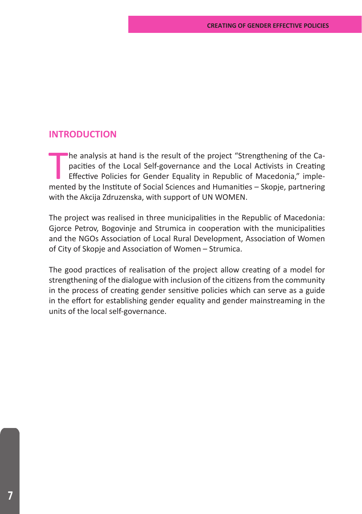# **INTRODUCTION**

The analysis at hand is the result of the project "Strengthening of the Capacities of the Local Self-governance and the Local Activists in Creating Effective Policies for Gender Equality in Republic of Macedonia," implemen he analysis at hand is the result of the project "Strengthening of the Capacities of the Local Self-governance and the Local Activists in Creating Effective Policies for Gender Equality in Republic of Macedonia," implewith the Akcija Zdruzenska, with support of UN WOMEN.

The project was realised in three municipalities in the Republic of Macedonia: Gjorce Petrov, Bogovinje and Strumica in cooperation with the municipalities and the NGOs Association of Local Rural Development, Association of Women of City of Skopje and Association of Women – Strumica.

The good practices of realisation of the project allow creating of a model for strengthening of the dialogue with inclusion of the citizens from the community in the process of creating gender sensitive policies which can serve as a guide in the effort for establishing gender equality and gender mainstreaming in the units of the local self-governance.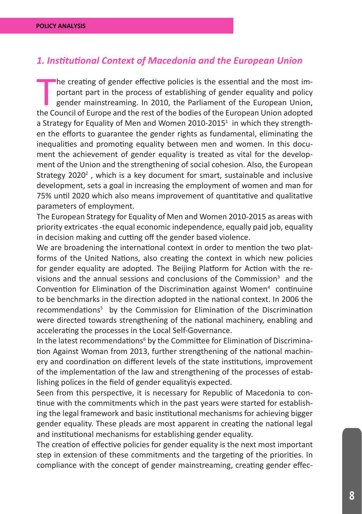# *1. Institutional Context of Macedonia and the European Union*

The creating of gender effective policies is the essential and the most important part in the process of establishing of gender equality and policy gender mainstreaming. In 2010, the Parliament of the European Union, the C he creating of gender effective policies is the essential and the most important part in the process of establishing of gender equality and policy gender mainstreaming. In 2010, the Parliament of the European Union, a Strategy for Equality of Men and Women 2010-2015<sup>1</sup> in which they strengthen the efforts to guarantee the gender rights as fundamental, eliminating the inequalities and promoting equality between men and women. In this document the achievement of gender equality is treated as vital for the development of the Union and the strengthening of social cohesion. Also, the European Strategy 2020<sup>2</sup>, which is a key document for smart, sustainable and inclusive development, sets a goal in increasing the employment of women and man for 75% until 2020 which also means improvement of quantitative and qualitative parameters of employment.

The European Strategy for Equality of Men and Women 2010-2015 as areas with priority extricates -the equal economic independence, equally paid job, equality in decision making and cutting off the gender based violence.

We are broadening the international context in order to mention the two platforms of the United Nations, also creating the context in which new policies for gender equality are adopted. The Beijing Platform for Action with the revisions and the annual sessions and conclusions of the Commission<sup>3</sup> and the Convention for Elimination of the Discrimination against Women<sup>4</sup> continuine to be benchmarks in the direction adopted in the national context. In 2006 the recommendations<sup>5</sup> by the Commission for Elimination of the Discrimination were directed towards strengthening of the national machinery, enabling and accelerating the processes in the Local Self-Governance.

In the latest recommendations<sup>6</sup> by the Committee for Elimination of Discrimination Against Woman from 2013, further strengthening of the national machinery and coordination on different levels of the state institutions, improvement of the implementation of the law and strengthening of the processes of establishing polices in the field of gender equalityis expected.

Seen from this perspective, it is necessary for Republic of Macedonia to continue with the commitments which in the past years were started for establishing the legal framework and basic institutional mechanisms for achieving bigger gender equality. These pleads are most apparent in creating the national legal and institutional mechanisms for establishing gender equality.

The creation of effective policies for gender equality is the next most important step in extension of these commitments and the targeting of the priorities. In compliance with the concept of gender mainstreaming, creating gender effec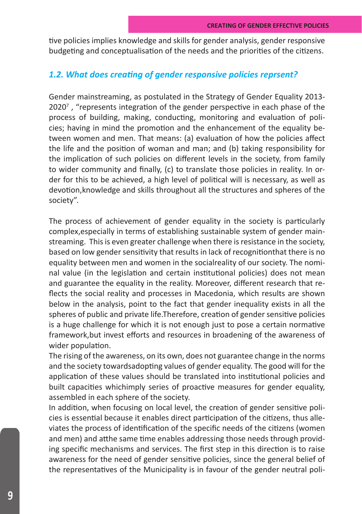tive policies implies knowledge and skills for gender analysis, gender responsive budgeting and conceptualisation of the needs and the priorities of the citizens.

# *1.2. What does creating of gender responsive policies reprsent?*

Gender mainstreaming, as postulated in the Strategy of Gender Equality 2013- 2020<sup>7</sup>, "represents integration of the gender perspective in each phase of the process of building, making, conducting, monitoring and evaluation of policies; having in mind the promotion and the enhancement of the equality between women and men. That means: (a) evaluation of how the policies affect the life and the position of woman and man; and (b) taking responsibility for the implication of such policies on different levels in the society, from family to wider community and finally, (c) to translate those policies in reality. In order for this to be achieved, a high level of political will is necessary, as well as devotion,knowledge and skills throughout all the structures and spheres of the society".

The process of achievement of gender equality in the society is particularly complex,especially in terms of establishing sustainable system of gender mainstreaming. This is even greater challenge when there is resistance in the society, based on low gender sensitivity that results in lack of recognitionthat there is no equality between men and women in the socialreality of our society. The nominal value (in the legislation and certain institutional policies) does not mean and guarantee the equality in the reality. Moreover, different research that reflects the social reality and processes in Macedonia, which results are shown below in the analysis, point to the fact that gender inequality exists in all the spheres of public and private life.Therefore, creation of gender sensitive policies is a huge challenge for which it is not enough just to pose a certain normative framework,but invest efforts and resources in broadening of the awareness of wider population.

The rising of the awareness, on its own, does not guarantee change in the norms and the society towardsadopting values of gender equality. The good will for the application of these values should be translated into institutional policies and built capacities whichimply series of proactive measures for gender equality, assembled in each sphere of the society.

In addition, when focusing on local level, the creation of gender sensitive policies is essential because it enables direct participation of the citizens, thus alleviates the process of identification of the specific needs of the citizens (women and men) and atthe same time enables addressing those needs through providing specific mechanisms and services. The first step in this direction is to raise awareness for the need of gender sensitive policies, since the general belief of the representatives of the Municipality is in favour of the gender neutral poli-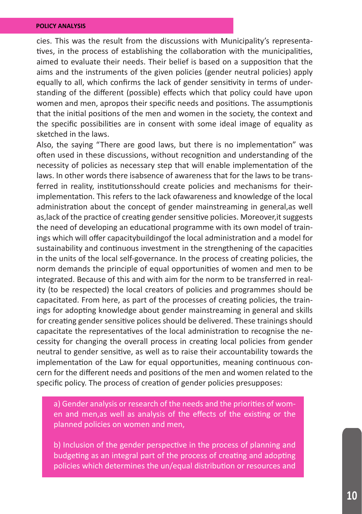cies. This was the result from the discussions with Municipality's representatives, in the process of establishing the collaboration with the municipalities, aimed to evaluate their needs. Their belief is based on a supposition that the aims and the instruments of the given policies (gender neutral policies) apply equally to all, which confirms the lack of gender sensitivity in terms of understanding of the different (possible) effects which that policy could have upon women and men, apropos their specific needs and positions. The assumptionis that the initial positions of the men and women in the society, the context and the specific possibilities are in consent with some ideal image of equality as sketched in the laws.

Also, the saying "There are good laws, but there is no implementation" was often used in these discussions, without recognition and understanding of the necessity of policies as necessary step that will enable implementation of the laws. In other words there isabsence of awareness that for the laws to be transferred in reality, institutionsshould create policies and mechanisms for theirimplementation. This refers to the lack ofawareness and knowledge of the local administration about the concept of gender mainstreaming in general,as well as,lack of the practice of creating gender sensitive policies. Moreover,it suggests the need of developing an educational programme with its own model of trainings which will offer capacitybuildingof the local administration and a model for sustainability and continuous investment in the strengthening of the capacities in the units of the local self-governance. In the process of creating policies, the norm demands the principle of equal opportunities of women and men to be integrated. Because of this and with aim for the norm to be transferred in reality (to be respected) the local creators of policies and programmes should be capacitated. From here, as part of the processes of creating policies, the trainings for adopting knowledge about gender mainstreaming in general and skills for creating gender sensitive polices should be delivered. These trainings should capacitate the representatives of the local administration to recognise the necessity for changing the overall process in creating local policies from gender neutral to gender sensitive, as well as to raise their accountability towards the implementation of the Law for equal opportunities, meaning continuous concern for the different needs and positions of the men and women related to the specific policy. The process of creation of gender policies presupposes:

a) Gender analysis or research of the needs and the priorities of women and men,as well as analysis of the effects of the existing or the planned policies on women and men,

b) Inclusion of the gender perspective in the process of planning and budgeting as an integral part of the process of creating and adopting policies which determines the un/equal distribution or resources and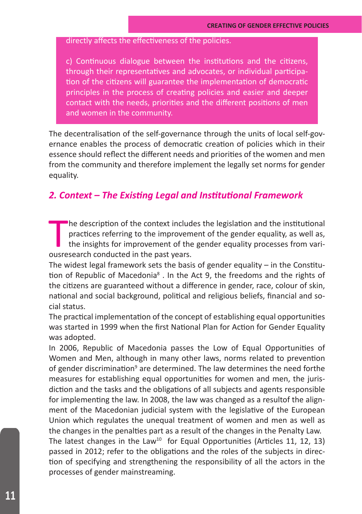# directly affects the effectiveness of the policies.

c) Continuous dialogue between the institutions and the citizens, through their representatives and advocates, or individual participation of the citizens will guarantee the implementation of democratic principles in the process of creating policies and easier and deeper contact with the needs, priorities and the different positions of men and women in the community.

The decentralisation of the self-governance through the units of local self-governance enables the process of democratic creation of policies which in their essence should reflect the different needs and priorities of the women and men from the community and therefore implement the legally set norms for gender equality.

# *2. Context – The Existing Legal and Institutional Framework*

The description of the context include practices referring to the improvement of the ousresearch conducted in the past years. he description of the context includes the legislation and the institutional practices referring to the improvement of the gender equality, as well as, the insights for improvement of the gender equality processes from vari-

The widest legal framework sets the basis of gender equality – in the Constitution of Republic of Macedonia<sup>s</sup> . In the Act 9, the freedoms and the rights of the citizens are guaranteed without a difference in gender, race, colour of skin, national and social background, political and religious beliefs, financial and social status.

The practical implementation of the concept of establishing equal opportunities was started in 1999 when the first National Plan for Action for Gender Equality was adopted.

In 2006, Republic of Macedonia passes the Low of Equal Opportunities of Women and Men, although in many other laws, norms related to prevention of gender discrimination<sup>9</sup> are determined. The law determines the need forthe measures for establishing equal opportunities for women and men, the jurisdiction and the tasks and the obligations of all subjects and agents responsible for implementing the law. In 2008, the law was changed as a resultof the alignment of the Macedonian judicial system with the legislative of the European Union which regulates the unequal treatment of women and men as well as the changes in the penalties part as a result of the changes in the Penalty Law. The latest changes in the Law<sup>10</sup> for Equal Opportunities (Articles 11, 12, 13)

passed in 2012; refer to the obligations and the roles of the subjects in direction of specifying and strengthening the responsibility of all the actors in the processes of gender mainstreaming.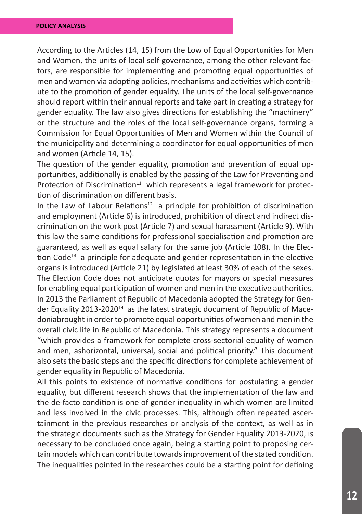According to the Articles (14, 15) from the Low of Equal Opportunities for Men and Women, the units of local self-governance, among the other relevant factors, are responsible for implementing and promoting equal opportunities of men and women via adopting policies, mechanisms and activities which contribute to the promotion of gender equality. The units of the local self-governance should report within their annual reports and take part in creating a strategy for gender equality. The law also gives directions for establishing the "machinery" or the structure and the roles of the local self-governance organs, forming a Commission for Equal Opportunities of Men and Women within the Council of the municipality and determining a coordinator for equal opportunities of men and women (Article 14, 15).

The question of the gender equality, promotion and prevention of equal opportunities, additionally is enabled by the passing of the Law for Preventing and Protection of Discrimination<sup>11</sup> which represents a legal framework for protection of discrimination on different basis.

In the Law of Labour Relations<sup>12</sup> a principle for prohibition of discrimination and employment (Article 6) is introduced, prohibition of direct and indirect discrimination on the work post (Article 7) and sexual harassment (Article 9). With this law the same conditions for professional specialisation and promotion are guaranteed, as well as equal salary for the same job (Article 108). In the Election  $Code<sup>13</sup>$  a principle for adequate and gender representation in the elective organs is introduced (Article 21) by legislated at least 30% of each of the sexes. The Election Code does not anticipate quotas for mayors or special measures for enabling equal participation of women and men in the executive authorities. In 2013 the Parliament of Republic of Macedonia adopted the Strategy for Gender Equality 2013-2020<sup>14</sup> as the latest strategic document of Republic of Macedoniabrought in order to promote equal opportunities of women and men in the overall civic life in Republic of Macedonia. This strategy represents a document "which provides a framework for complete cross-sectorial equality of women and men, ashorizontal, universal, social and political priority." This document also sets the basic steps and the specific directions for complete achievement of gender equality in Republic of Macedonia.

All this points to existence of normative conditions for postulating a gender equality, but different research shows that the implementation of the law and the de-facto condition is one of gender inequality in which women are limited and less involved in the civic processes. This, although often repeated ascertainment in the previous researches or analysis of the context, as well as in the strategic documents such as the Strategy for Gender Equality 2013-2020, is necessary to be concluded once again, being a starting point to proposing certain models which can contribute towards improvement of the stated condition. The inequalities pointed in the researches could be a starting point for defining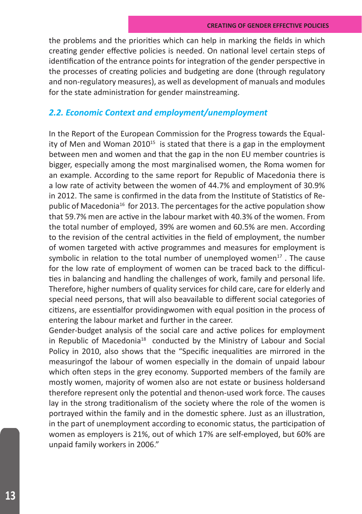the problems and the priorities which can help in marking the fields in which creating gender effective policies is needed. On national level certain steps of identification of the entrance points for integration of the gender perspective in the processes of creating policies and budgeting are done (through regulatory and non-regulatory measures), as well as development of manuals and modules for the state administration for gender mainstreaming.

# *2.2. Economic Context and employment/unemployment*

In the Report of the European Commission for the Progress towards the Equality of Men and Woman 2010<sup>15</sup> is stated that there is a gap in the employment between men and women and that the gap in the non EU member countries is bigger, especially among the most marginalised women, the Roma women for an example. According to the same report for Republic of Macedonia there is a low rate of activity between the women of 44.7% and employment of 30.9% in 2012. The same is confirmed in the data from the Institute of Statistics of Republic of Macedonia<sup>16</sup> for 2013. The percentages for the active population show that 59.7% men are active in the labour market with 40.3% of the women. From the total number of employed, 39% are women and 60.5% are men. According to the revision of the central activities in the field of employment, the number of women targeted with active programmes and measures for employment is symbolic in relation to the total number of unemployed women $17$ . The cause for the low rate of employment of women can be traced back to the difficulties in balancing and handling the challenges of work, family and personal life. Therefore, higher numbers of quality services for child care, care for elderly and special need persons, that will also beavailable to different social categories of citizens, are essentialfor providingwomen with equal position in the process of entering the labour market and further in the career.

Gender-budget analysis of the social care and active polices for employment in Republic of Macedonia<sup>18</sup> conducted by the Ministry of Labour and Social Policy in 2010, also shows that the "Specific inequalities are mirrored in the measuringof the labour of women especially in the domain of unpaid labour which often steps in the grey economy. Supported members of the family are mostly women, majority of women also are not estate or business holdersand therefore represent only the potential and thenon-used work force. The causes lay in the strong traditionalism of the society where the role of the women is portrayed within the family and in the domestic sphere. Just as an illustration, in the part of unemployment according to economic status, the participation of women as employers is 21%, out of which 17% are self-employed, but 60% are unpaid family workers in 2006."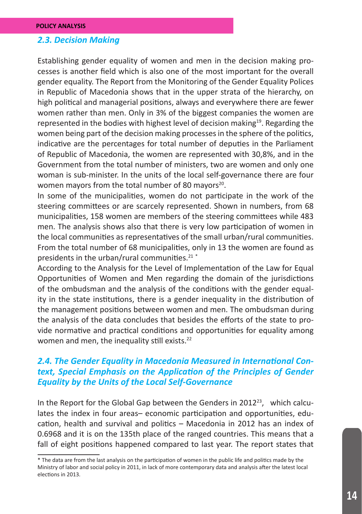### *2.3. Decision Making*

Establishing gender equality of women and men in the decision making processes is another field which is also one of the most important for the overall gender equality. The Report from the Monitoring of the Gender Equality Polices in Republic of Macedonia shows that in the upper strata of the hierarchy, on high political and managerial positions, always and everywhere there are fewer women rather than men. Only in 3% of the biggest companies the women are represented in the bodies with highest level of decision making<sup>19</sup>. Regarding the women being part of the decision making processes in the sphere of the politics, indicative are the percentages for total number of deputies in the Parliament of Republic of Macedonia, the women are represented with 30,8%, and in the Government from the total number of ministers, two are women and only one woman is sub-minister. In the units of the local self-governance there are four women mayors from the total number of 80 mayors<sup>20</sup>.

In some of the municipalities, women do not participate in the work of the steering committees or are scarcely represented. Shown in numbers, from 68 municipalities, 158 women are members of the steering committees while 483 men. The analysis shows also that there is very low participation of women in the local communities as representatives of the small urban/rural communities. From the total number of 68 municipalities, only in 13 the women are found as presidents in the urban/rural communities.<sup>21</sup>\*

According to the Analysis for the Level of Implementation of the Law for Equal Opportunities of Women and Men regarding the domain of the jurisdictions of the ombudsman and the analysis of the conditions with the gender equality in the state institutions, there is a gender inequality in the distribution of the management positions between women and men. The ombudsman during the analysis of the data concludes that besides the efforts of the state to provide normative and practical conditions and opportunities for equality among women and men, the inequality still exists.<sup>22</sup>

# *2.4. The Gender Equality in Macedonia Measured in International Context, Special Emphasis on the Application of the Principles of Gender Equality by the Units of the Local Self-Governance*

In the Report for the Global Gap between the Genders in 2012<sup>23</sup>, which calculates the index in four areas– economic participation and opportunities, education, health and survival and politics – Macedonia in 2012 has an index of 0.6968 and it is on the 135th place of the ranged countries. This means that a fall of eight positions happened compared to last year. The report states that

<sup>\*</sup> The data are from the last analysis on the participation of women in the public life and politics made by the Ministry of labor and social policy in 2011, in lack of more contemporary data and analysis after the latest local elections in 2013.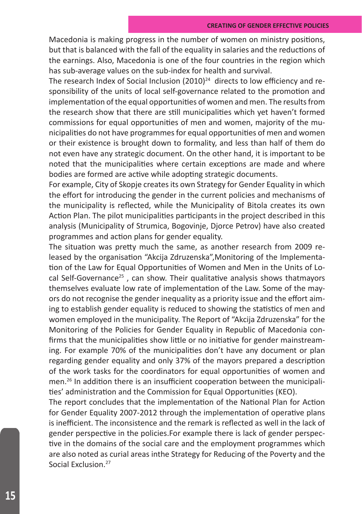Macedonia is making progress in the number of women on ministry positions, but that is balanced with the fall of the equality in salaries and the reductions of the earnings. Also, Macedonia is one of the four countries in the region which has sub-average values on the sub-index for health and survival.

The research Index of Social Inclusion  $(2010)^{24}$  directs to low efficiency and responsibility of the units of local self-governance related to the promotion and implementation of the equal opportunities of women and men. The results from the research show that there are still municipalities which yet haven't formed commissions for equal opportunities of men and women, majority of the municipalities do not have programmes for equal opportunities of men and women or their existence is brought down to formality, and less than half of them do not even have any strategic document. On the other hand, it is important to be noted that the municipalities where certain exceptions are made and where bodies are formed are active while adopting strategic documents.

For example, City of Skopje creates its own Strategy for Gender Equality in which the effort for introducing the gender in the current policies and mechanisms of the municipality is reflected, while the Municipality of Bitola creates its own Action Plan. The pilot municipalities participants in the project described in this analysis (Municipality of Strumica, Bogovinje, Djorce Petrov) have also created programmes and action plans for gender equality.

The situation was pretty much the same, as another research from 2009 released by the organisation "Akcija Zdruzenska",Monitoring of the Implementation of the Law for Equal Opportunities of Women and Men in the Units of Local Self-Governance<sup>25</sup>, can show. Their qualitative analysis shows thatmayors themselves evaluate low rate of implementation of the Law. Some of the mayors do not recognise the gender inequality as a priority issue and the effort aiming to establish gender equality is reduced to showing the statistics of men and women employed in the municipality. The Report of "Akcija Zdruzenska" for the Monitoring of the Policies for Gender Equality in Republic of Macedonia confirms that the municipalities show little or no initiative for gender mainstreaming. For example 70% of the municipalities don't have any document or plan regarding gender equality and only 37% of the mayors prepared a description of the work tasks for the coordinators for equal opportunities of women and men.<sup>26</sup> In addition there is an insufficient cooperation between the municipalities' administration and the Commission for Equal Opportunities (KEO).

The report concludes that the implementation of the National Plan for Action for Gender Equality 2007-2012 through the implementation of operative plans is inefficient. The inconsistence and the remark is reflected as well in the lack of gender perspective in the policies.For example there is lack of gender perspective in the domains of the social care and the employment programmes which are also noted as curial areas inthe Strategy for Reducing of the Poverty and the Social Exclusion.27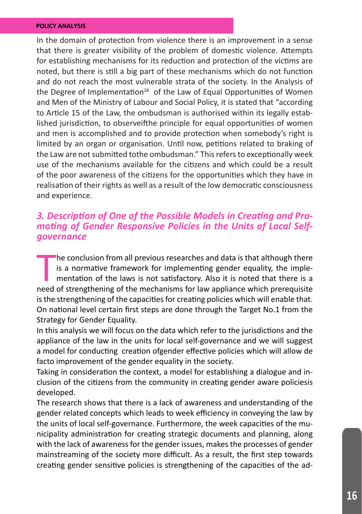In the domain of protection from violence there is an improvement in a sense that there is greater visibility of the problem of domestic violence. Attempts for establishing mechanisms for its reduction and protection of the victims are noted, but there is still a big part of these mechanisms which do not function and do not reach the most vulnerable strata of the society. In the Analysis of the Degree of Implementation<sup>28</sup> of the Law of Equal Opportunities of Women and Men of the Ministry of Labour and Social Policy, it is stated that "according to Article 15 of the Law, the ombudsman is authorised within its legally established jurisdiction, to observeifthe principle for equal opportunities of women and men is accomplished and to provide protection when somebody's right is limited by an organ or organisation. Until now, petitions related to braking of the Law are not submitted tothe ombudsman." This refers to exceptionally week use of the mechanisms available for the citizens and which could be a result of the poor awareness of the citizens for the opportunities which they have in realisation of their rights as well as a result of the low democratic consciousness and experience.

# *3. Description of One of the Possible Models in Creating and Pro- moting of Gender Responsive Policies in the Units of Local Selfgovernance*

he conclusion from all previous researches and data is that although there is a normative framework for implementing gender equality, the implementation of the laws is not satisfactory. Also it is noted that there is a nee he conclusion from all previous researches and data is that although there is a normative framework for implementing gender equality, the implementation of the laws is not satisfactory. Also it is noted that there is a is the strengthening of the capacities for creating policies which will enable that. On national level certain first steps are done through the Target No.1 from the Strategy for Gender Equality.

In this analysis we will focus on the data which refer to the jurisdictions and the appliance of the law in the units for local self-governance and we will suggest a model for conducting creation ofgender effective policies which will allow de facto improvement of the gender equality in the society.

Taking in consideration the context, a model for establishing a dialogue and inclusion of the citizens from the community in creating gender aware policiesis developed.

The research shows that there is a lack of awareness and understanding of the gender related concepts which leads to week efficiency in conveying the law by the units of local self-governance. Furthermore, the week capacities of the municipality administration for creating strategic documents and planning, along with the lack of awareness for the gender issues, makes the processes of gender mainstreaming of the society more difficult. As a result, the first step towards creating gender sensitive policies is strengthening of the capacities of the ad-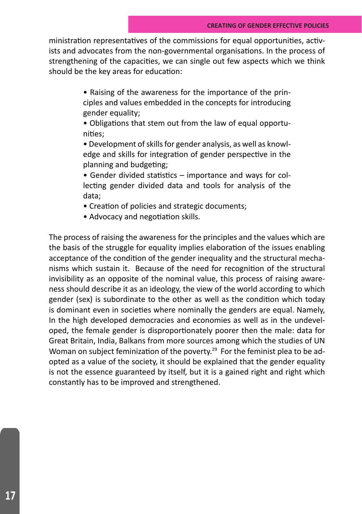ministration representatives of the commissions for equal opportunities, activists and advocates from the non-governmental organisations. In the process of strengthening of the capacities, we can single out few aspects which we think should be the key areas for education:

> • Raising of the awareness for the importance of the principles and values embedded in the concepts for introducing gender equality;

> • Obligations that stem out from the law of equal opportunities;

> • Development of skills for gender analysis, as well as knowledge and skills for integration of gender perspective in the planning and budgeting;

> • Gender divided statistics – importance and ways for collecting gender divided data and tools for analysis of the data;

• Creation of policies and strategic documents;

• Advocacy and negotiation skills.

The process of raising the awareness for the principles and the values which are the basis of the struggle for equality implies elaboration of the issues enabling acceptance of the condition of the gender inequality and the structural mechanisms which sustain it. Because of the need for recognition of the structural invisibility as an opposite of the nominal value, this process of raising awareness should describe it as an ideology, the view of the world according to which gender (sex) is subordinate to the other as well as the condition which today is dominant even in societies where nominally the genders are equal. Namely, In the high developed democracies and economies as well as in the undeveloped, the female gender is disproportionately poorer then the male: data for Great Britain, India, Balkans from more sources among which the studies of UN Woman on subject feminization of the poverty.<sup>29</sup> For the feminist plea to be adopted as a value of the society, it should be explained that the gender equality is not the essence guaranteed by itself, but it is a gained right and right which constantly has to be improved and strengthened.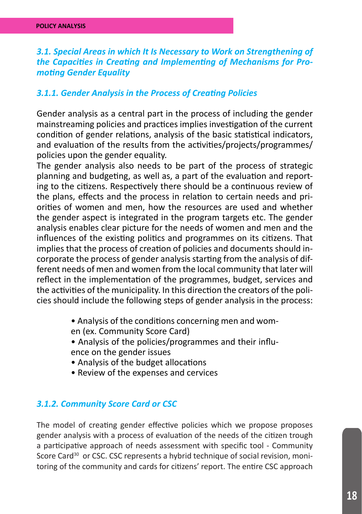# *3.1. Special Areas in which It Is Necessary to Work on Strengthening of the Capacities in Creating and Implementing of Mechanisms for Promoting Gender Equality*

## *3.1.1. Gender Analysis in the Process of Creating Policies*

Gender analysis as a central part in the process of including the gender mainstreaming policies and practices implies investigation of the current condition of gender relations, analysis of the basic statistical indicators, and evaluation of the results from the activities/projects/programmes/ policies upon the gender equality.

The gender analysis also needs to be part of the process of strategic planning and budgeting, as well as, a part of the evaluation and reporting to the citizens. Respectively there should be a continuous review of the plans, effects and the process in relation to certain needs and priorities of women and men, how the resources are used and whether the gender aspect is integrated in the program targets etc. The gender analysis enables clear picture for the needs of women and men and the influences of the existing politics and programmes on its citizens. That implies that the process of creation of policies and documents should incorporate the process of gender analysis starting from the analysis of different needs of men and women from the local community that later will reflect in the implementation of the programmes, budget, services and the activities of the municipality. In this direction the creators of the policies should include the following steps of gender analysis in the process:

- Analysis of the conditions concerning men and wom-
- en (ex. Community Score Card)
- Analysis of the policies/programmes and their influ-
- ence on the gender issues
- Analysis of the budget allocations
- Review of the expenses and cervices

# *3.1.2. Community Score Card or CSC*

The model of creating gender effective policies which we propose proposes gender analysis with a process of evaluation of the needs of the citizen trough a participative approach of needs assessment with specific tool - Community Score Card<sup>30</sup> or CSC. CSC represents a hybrid technique of social revision, monitoring of the community and cards for citizens' report. The entire CSC approach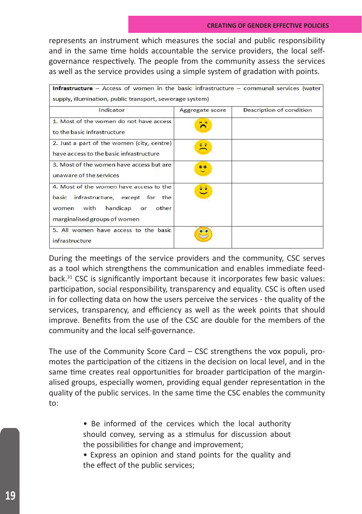represents an instrument which measures the social and public responsibility and in the same time holds accountable the service providers, the local selfgovernance respectively. The people from the community assess the services as well as the service provides using a simple system of gradation with points.

| Indicator                                                                                                                                             | Aggregate score   | Description of condition |
|-------------------------------------------------------------------------------------------------------------------------------------------------------|-------------------|--------------------------|
| 1. Most of the women do not have access<br>to the basic infrastructure                                                                                | $\times$ $\times$ |                          |
| 2. Just a part of the women (city, centre)<br>have access to the basic infrastructure                                                                 | 호교                |                          |
| 3. Most of the women have access but are<br>unaware of the services                                                                                   | $\bullet$         |                          |
| 4. Most of the women have access to the<br>basic infrastructure, except for the<br>women with<br>handicap<br>or other<br>marginalised groups of women | ಄                 |                          |
| 5. All women have access to the basic<br>infrastructure                                                                                               |                   |                          |

During the meetings of the service providers and the community, CSC serves as a tool which strengthens the communication and enables immediate feedback.<sup>31</sup> CSC is significantly important because it incorporates few basic values: participation, social responsibility, transparency and equality. CSC is often used in for collecting data on how the users perceive the services - the quality of the services, transparency, and efficiency as well as the week points that should improve. Benefits from the use of the CSC are double for the members of the community and the local self-governance.

The use of the Community Score Card – CSC strengthens the vox populi, promotes the participation of the citizens in the decision on local level, and in the same time creates real opportunities for broader participation of the marginalised groups, especially women, providing equal gender representation in the quality of the public services. In the same time the CSC enables the community to:

> • Be informed of the cervices which the local authority should convey, serving as a stimulus for discussion about the possibilities for change and improvement;

> • Express an opinion and stand points for the quality and the effect of the public services;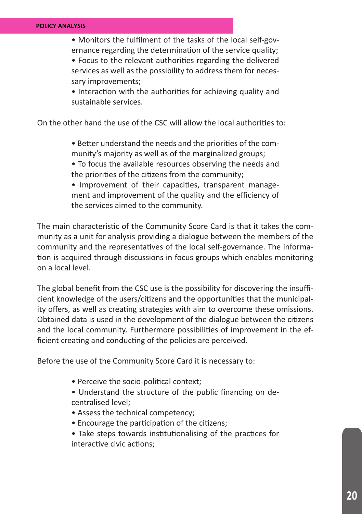• Monitors the fulfilment of the tasks of the local self-governance regarding the determination of the service quality;

• Focus to the relevant authorities regarding the delivered services as well as the possibility to address them for necessary improvements;

• Interaction with the authorities for achieving quality and sustainable services.

On the other hand the use of the CSC will allow the local authorities to:

- Better understand the needs and the priorities of the community's majority as well as of the marginalized groups;
- To focus the available resources observing the needs and the priorities of the citizens from the community;
- Improvement of their capacities, transparent management and improvement of the quality and the efficiency of the services aimed to the community.

The main characteristic of the Community Score Card is that it takes the community as a unit for analysis providing a dialogue between the members of the community and the representatives of the local self-governance. The information is acquired through discussions in focus groups which enables monitoring on a local level.

The global benefit from the CSC use is the possibility for discovering the insufficient knowledge of the users/citizens and the opportunities that the municipality offers, as well as creating strategies with aim to overcome these omissions. Obtained data is used in the development of the dialogue between the citizens and the local community. Furthermore possibilities of improvement in the efficient creating and conducting of the policies are perceived.

Before the use of the Community Score Card it is necessary to:

- Perceive the socio-political context;
- Understand the structure of the public financing on decentralised level;
- Assess the technical competency;
- Encourage the participation of the citizens;
- Take steps towards institutionalising of the practices for interactive civic actions;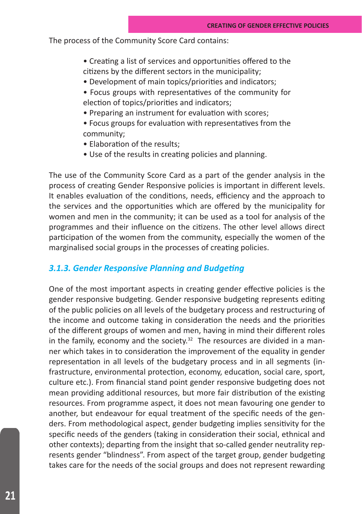The process of the Community Score Card contains:

- Creating a list of services and opportunities offered to the citizens by the different sectors in the municipality;
- Development of main topics/priorities and indicators;
- Focus groups with representatives of the community for election of topics/priorities and indicators;
- Preparing an instrument for evaluation with scores;
- Focus groups for evaluation with representatives from the community;
- Elaboration of the results;
- Use of the results in creating policies and planning.

The use of the Community Score Card as a part of the gender analysis in the process of creating Gender Responsive policies is important in different levels. It enables evaluation of the conditions, needs, efficiency and the approach to the services and the opportunities which are offered by the municipality for women and men in the community; it can be used as a tool for analysis of the programmes and their influence on the citizens. The other level allows direct participation of the women from the community, especially the women of the marginalised social groups in the processes of creating policies.

## *3.1.3. Gender Responsive Planning and Budgeting*

One of the most important aspects in creating gender effective policies is the gender responsive budgeting. Gender responsive budgeting represents editing of the public policies on all levels of the budgetary process and restructuring of the income and outcome taking in consideration the needs and the priorities of the different groups of women and men, having in mind their different roles in the family, economy and the society.<sup>32</sup> The resources are divided in a manner which takes in to consideration the improvement of the equality in gender representation in all levels of the budgetary process and in all segments (infrastructure, environmental protection, economy, education, social care, sport, culture etc.). From financial stand point gender responsive budgeting does not mean providing additional resources, but more fair distribution of the existing resources. From programme aspect, it does not mean favouring one gender to another, but endeavour for equal treatment of the specific needs of the genders. From methodological aspect, gender budgeting implies sensitivity for the specific needs of the genders (taking in consideration their social, ethnical and other contexts); departing from the insight that so-called gender neutrality represents gender "blindness". From aspect of the target group, gender budgeting takes care for the needs of the social groups and does not represent rewarding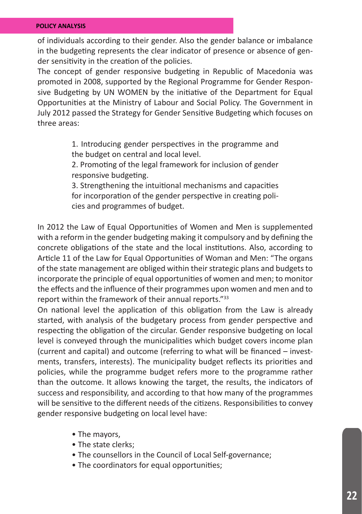of individuals according to their gender. Also the gender balance or imbalance in the budgeting represents the clear indicator of presence or absence of gender sensitivity in the creation of the policies.

The concept of gender responsive budgeting in Republic of Macedonia was promoted in 2008, supported by the Regional Programme for Gender Responsive Budgeting by UN WOMEN by the initiative of the Department for Equal Opportunities at the Ministry of Labour and Social Policy. The Government in July 2012 passed the Strategy for Gender Sensitive Budgeting which focuses on three areas:

> 1. Introducing gender perspectives in the programme and the budget on central and local level.

> 2. Promoting of the legal framework for inclusion of gender responsive budgeting.

> 3. Strengthening the intuitional mechanisms and capacities for incorporation of the gender perspective in creating policies and programmes of budget.

In 2012 the Law of Equal Opportunities of Women and Men is supplemented with a reform in the gender budgeting making it compulsory and by defining the concrete obligations of the state and the local institutions. Also, according to Article 11 of the Law for Equal Opportunities of Woman and Men: "The organs of the state management are obliged within their strategic plans and budgets to incorporate the principle of equal opportunities of women and men; to monitor the effects and the influence of their programmes upon women and men and to report within the framework of their annual reports."<sup>33</sup>

On national level the application of this obligation from the Law is already started, with analysis of the budgetary process from gender perspective and respecting the obligation of the circular. Gender responsive budgeting on local level is conveyed through the municipalities which budget covers income plan (current and capital) and outcome (referring to what will be financed – investments, transfers, interests). The municipality budget reflects its priorities and policies, while the programme budget refers more to the programme rather than the outcome. It allows knowing the target, the results, the indicators of success and responsibility, and according to that how many of the programmes will be sensitive to the different needs of the citizens. Responsibilities to convey gender responsive budgeting on local level have:

- The mayors,
- The state clerks;
- The counsellors in the Council of Local Self-governance;
- The coordinators for equal opportunities;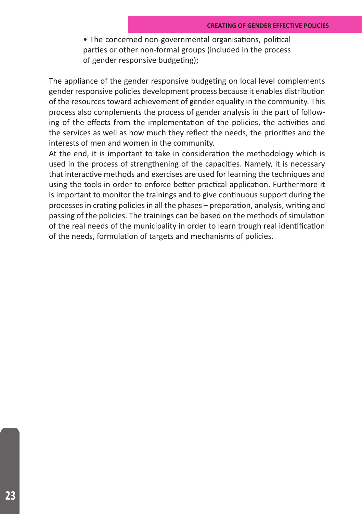• The concerned non-governmental organisations, political parties or other non-formal groups (included in the process of gender responsive budgeting);

The appliance of the gender responsive budgeting on local level complements gender responsive policies development process because it enables distribution of the resources toward achievement of gender equality in the community. This process also complements the process of gender analysis in the part of following of the effects from the implementation of the policies, the activities and the services as well as how much they reflect the needs, the priorities and the interests of men and women in the community.

At the end, it is important to take in consideration the methodology which is used in the process of strengthening of the capacities. Namely, it is necessary that interactive methods and exercises are used for learning the techniques and using the tools in order to enforce better practical application. Furthermore it is important to monitor the trainings and to give continuous support during the processes in crating policies in all the phases – preparation, analysis, writing and passing of the policies. The trainings can be based on the methods of simulation of the real needs of the municipality in order to learn trough real identification of the needs, formulation of targets and mechanisms of policies.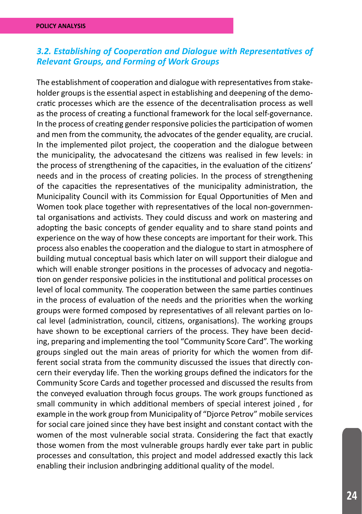# *3.2. Establishing of Cooperation and Dialogue with Representatives of Relevant Groups, and Forming of Work Groups*

The establishment of cooperation and dialogue with representatives from stakeholder groups is the essential aspect in establishing and deepening of the democratic processes which are the essence of the decentralisation process as well as the process of creating a functional framework for the local self-governance. In the process of creating gender responsive policies the participation of women and men from the community, the advocates of the gender equality, are crucial. In the implemented pilot project, the cooperation and the dialogue between the municipality, the advocatesand the citizens was realised in few levels: in the process of strengthening of the capacities, in the evaluation of the citizens' needs and in the process of creating policies. In the process of strengthening of the capacities the representatives of the municipality administration, the Municipality Council with its Commission for Equal Opportunities of Men and Women took place together with representatives of the local non-governmental organisations and activists. They could discuss and work on mastering and adopting the basic concepts of gender equality and to share stand points and experience on the way of how these concepts are important for their work. This process also enables the cooperation and the dialogue to start in atmosphere of building mutual conceptual basis which later on will support their dialogue and which will enable stronger positions in the processes of advocacy and negotiation on gender responsive policies in the institutional and political processes on level of local community. The cooperation between the same parties continues in the process of evaluation of the needs and the priorities when the working groups were formed composed by representatives of all relevant parties on local level (administration, council, citizens, organisations). The working groups have shown to be exceptional carriers of the process. They have been deciding, preparing and implementing the tool "Community Score Card". The working groups singled out the main areas of priority for which the women from different social strata from the community discussed the issues that directly concern their everyday life. Then the working groups defined the indicators for the Community Score Cards and together processed and discussed the results from the conveyed evaluation through focus groups. The work groups functioned as small community in which additional members of special interest joined , for example in the work group from Municipality of "Djorce Petrov" mobile services for social care joined since they have best insight and constant contact with the women of the most vulnerable social strata. Considering the fact that exactly those women from the most vulnerable groups hardly ever take part in public processes and consultation, this project and model addressed exactly this lack enabling their inclusion andbringing additional quality of the model.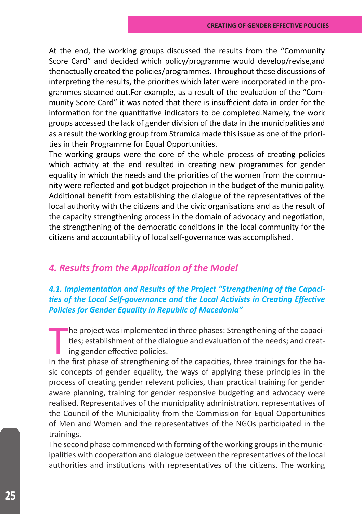At the end, the working groups discussed the results from the "Community Score Card" and decided which policy/programme would develop/revise,and thenactually created the policies/programmes. Throughout these discussions of interpreting the results, the priorities which later were incorporated in the programmes steamed out.For example, as a result of the evaluation of the "Community Score Card" it was noted that there is insufficient data in order for the information for the quantitative indicators to be completed.Namely, the work groups accessed the lack of gender division of the data in the municipalities and as a result the working group from Strumica made this issue as one of the priorities in their Programme for Equal Opportunities.

The working groups were the core of the whole process of creating policies which activity at the end resulted in creating new programmes for gender equality in which the needs and the priorities of the women from the community were reflected and got budget projection in the budget of the municipality. Additional benefit from establishing the dialogue of the representatives of the local authority with the citizens and the civic organisations and as the result of the capacity strengthening process in the domain of advocacy and negotiation, the strengthening of the democratic conditions in the local community for the citizens and accountability of local self-governance was accomplished.

# *4. Results from the Application of the Model*

# *4.1. Implementation and Results of the Project "Strengthening of the Capacities of the Local Self-governance and the Local Activists in Creating Effective Policies for Gender Equality in Republic of Macedonia"*

The project was implemented in three phases: Strengthening of the capacities; establishment of the dialogue and evaluation of the needs; and creating gender effective policies.<br>In the first phase of strengthening of the ca he project was implemented in three phases: Strengthening of the capacities; establishment of the dialogue and evaluation of the needs; and creating gender effective policies.

sic concepts of gender equality, the ways of applying these principles in the process of creating gender relevant policies, than practical training for gender aware planning, training for gender responsive budgeting and advocacy were realised. Representatives of the municipality administration, representatives of the Council of the Municipality from the Commission for Equal Opportunities of Men and Women and the representatives of the NGOs participated in the trainings.

The second phase commenced with forming of the working groups in the municipalities with cooperation and dialogue between the representatives of the local authorities and institutions with representatives of the citizens. The working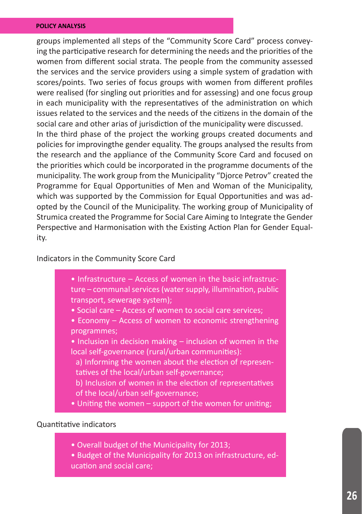groups implemented all steps of the "Community Score Card" process conveying the participative research for determining the needs and the priorities of the women from different social strata. The people from the community assessed the services and the service providers using a simple system of gradation with scores/points. Two series of focus groups with women from different profiles were realised (for singling out priorities and for assessing) and one focus group in each municipality with the representatives of the administration on which issues related to the services and the needs of the citizens in the domain of the social care and other arias of jurisdiction of the municipality were discussed. In the third phase of the project the working groups created documents and policies for improvingthe gender equality. The groups analysed the results from the research and the appliance of the Community Score Card and focused on the priorities which could be incorporated in the programme documents of the municipality. The work group from the Municipality "Djorce Petrov" created the Programme for Equal Opportunities of Men and Woman of the Municipality, which was supported by the Commission for Equal Opportunities and was adopted by the Council of the Municipality. The working group of Municipality of Strumica created the Programme for Social Care Aiming to Integrate the Gender Perspective and Harmonisation with the Existing Action Plan for Gender Equal-

ity.

#### Indicators in the Community Score Card

- Infrastructure Access of women in the basic infrastructure – communal services (water supply, illumination, public transport, sewerage system);
- Social care Access of women to social care services;
- Economy Access of women to economic strengthening programmes;
- Inclusion in decision making inclusion of women in the local self-governance (rural/urban communities):
	- a) Informing the women about the election of representatives of the local/urban self-governance;
	- b) Inclusion of women in the election of representatives of the local/urban self-governance;
- Uniting the women support of the women for uniting;

## Quantitative indicators

- Overall budget of the Municipality for 2013;
- Budget of the Municipality for 2013 on infrastructure, education and social care;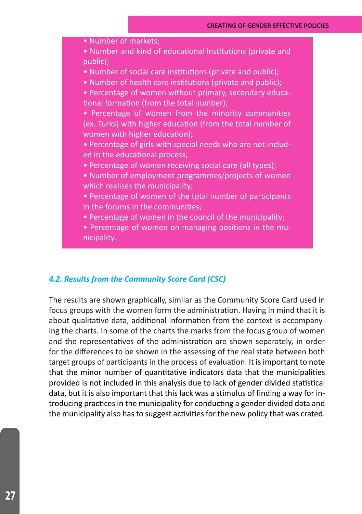• Number of markets; • Number and kind of educational institutions (private and public); • Number of social care institutions (private and public); • Number of health care institutions (private and public); • Percentage of women without primary, secondary educational formation (from the total number); • Percentage of women from the minority communities (ex. Turks) with higher education (from the total number of women with higher education); • Percentage of girls with special needs who are not included in the educational process; • Percentage of women receiving social care (all types); • Number of employment programmes/projects of women which realises the municipality: • Percentage of women of the total number of participants in the forums in the communities; • Percentage of women in the council of the municipality;

• Percentage of women on managing positions in the municipality.

## *4.2. Results from the Community Score Card (CSC)*

The results are shown graphically, similar as the Community Score Card used in focus groups with the women form the administration. Having in mind that it is about qualitative data, additional information from the context is accompanying the charts. In some of the charts the marks from the focus group of women and the representatives of the administration are shown separately, in order for the differences to be shown in the assessing of the real state between both target groups of participants in the process of evaluation. It is important to note that the minor number of quantitative indicators data that the municipalities provided is not included in this analysis due to lack of gender divided statistical data, but it is also important that this lack was a stimulus of finding a way for introducing practices in the municipality for conducting a gender divided data and the municipality also has to suggest activities for the new policy that was crated.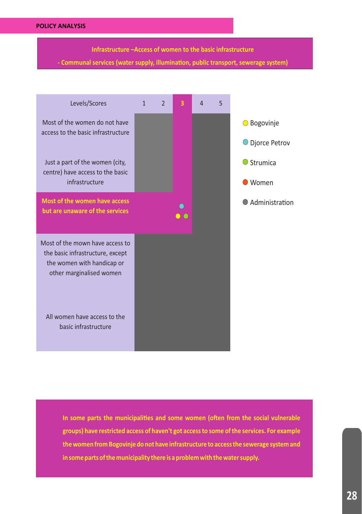**Infrastructure –Access of women to the basic infrastructure** 

**‐ Communal services (water supply, illumina�on, public transport, sewerage system)**



In some parts the municipalities and some women (often from the social vulnerable **groups) have restricted access of haven't got access to some of the services. For example the women from Bogovinje do not have infrastructure to access the sewerage system and in some parts of the municipality there is a problem with the water supply.**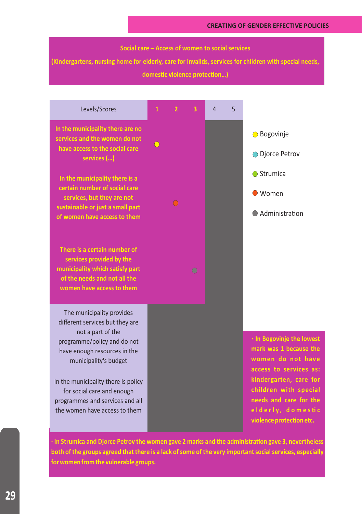#### **Social care – Access of women to social services**

**(Kindergartens, nursing home for elderly, care for invalids, services for children with special needs,** 

domestic violence protection...)



**∙ In Strumica and Djorce Petrov the women gave 2 marks and the administra�on gave 3, nevertheless both of the groups agreed that there is a lack of some of the very important social services, especially for women from the vulnerable groups.**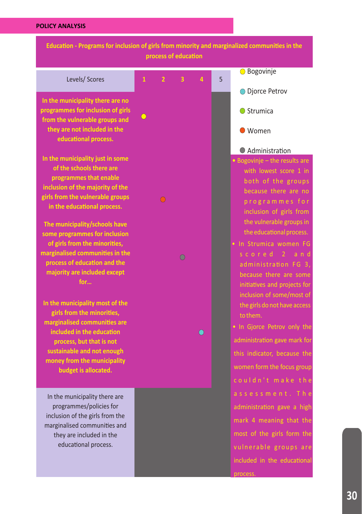٠,

| Education - Programs for inclusion of girls from minority and marginalized communities in the                                                                                                                                                                                                                                                                       |              | process of education |                         |            |   |                                                                                                                                                                                                                                                                                                |
|---------------------------------------------------------------------------------------------------------------------------------------------------------------------------------------------------------------------------------------------------------------------------------------------------------------------------------------------------------------------|--------------|----------------------|-------------------------|------------|---|------------------------------------------------------------------------------------------------------------------------------------------------------------------------------------------------------------------------------------------------------------------------------------------------|
| Levels/ Scores                                                                                                                                                                                                                                                                                                                                                      | $\mathbf{1}$ | $\overline{ }$       | $\overline{\mathbf{3}}$ | 4          | 5 | <b>O</b> Bogovinje                                                                                                                                                                                                                                                                             |
| In the municipality there are no<br>programmes for inclusion of girls<br>from the vulnerable groups and                                                                                                                                                                                                                                                             | $\bigcirc$   |                      |                         |            |   | ● Djorce Petrov<br><b>●</b> Strumica                                                                                                                                                                                                                                                           |
| they are not included in the<br>educational process.                                                                                                                                                                                                                                                                                                                |              |                      |                         |            |   | ● Women                                                                                                                                                                                                                                                                                        |
| In the municipality just in some<br>of the schools there are<br>programmes that enable<br>inclusion of the majority of the<br>girls from the vulnerable groups<br>in the educational process.<br>The municipality/schools have<br>some programmes for inclusion<br>of girls from the minorities,<br>marginalised communities in the<br>process of education and the |              |                      | ∩                       |            |   | Administration<br>• Bogovinje - the results are<br>with lowest score 1 in<br>both of the groups<br>because there are no<br>programmes for<br>inclusion of girls from<br>the vulnerable groups in<br>the educational process.<br>· In Strumica women FG<br>scored 2 and<br>administration FG 3, |
| majority are included except<br>for<br>In the municipality most of the<br>girls from the minorities,<br>marginalised communities are<br>included in the education<br>process, but that is not<br>sustainable and not enough<br>money from the municipality<br>budget is allocated.                                                                                  |              |                      |                         | $\bigcirc$ |   | because there are some<br>initiatives and projects for<br>inclusion of some/most of<br>the girls do not have access<br>to them.<br>. In Gjorce Petrov only the<br>administration gave mark for<br>this indicator, because the<br>women form the focus group<br>couldn't make the               |
| In the municipality there are<br>programmes/policies for<br>inclusion of the girls from the<br>marginalised communities and<br>they are included in the<br>educational process.                                                                                                                                                                                     |              |                      |                         |            |   | assessment. The<br>administration gave a high<br>mark 4 meaning that the<br>most of the girls form the<br>vulnerable groups are<br>included in the educational<br>process                                                                                                                      |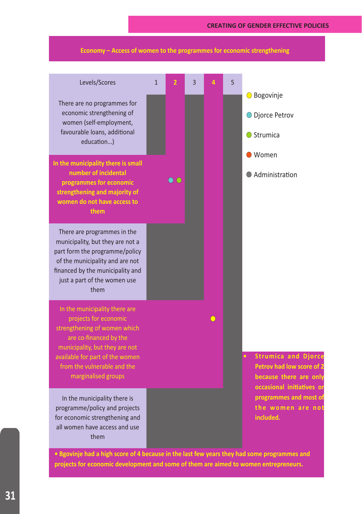#### **CREATING OF GENDER EFFECTIVE POLICIES**



**Economy – Access of women to the programmes for economic strengthening** 

**projects for economic development and some of them are aimed to women entrepreneurs.**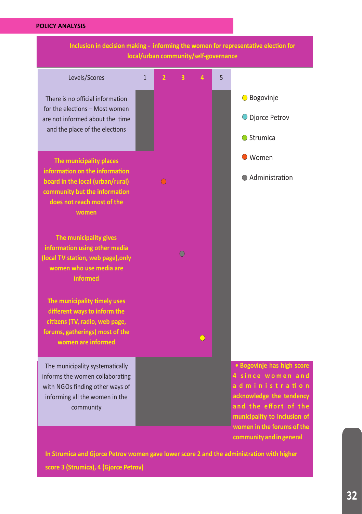

In Strumica and Gjorce Petrov women gave lower score 2 and the administration with higher **score 3 (Strumica), 4 (Gjorce Petrov)**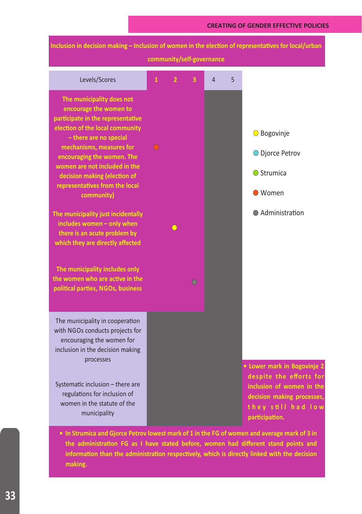| Inclusion in decision making - Inclusion of women in the election of representatives for local/urban<br>community/self-governance                                                                                                                                                                                                                                                                                                                                                                                                                                                  |              |                |   |   |   |                                                                                                                                                                |  |
|------------------------------------------------------------------------------------------------------------------------------------------------------------------------------------------------------------------------------------------------------------------------------------------------------------------------------------------------------------------------------------------------------------------------------------------------------------------------------------------------------------------------------------------------------------------------------------|--------------|----------------|---|---|---|----------------------------------------------------------------------------------------------------------------------------------------------------------------|--|
| Levels/Scores                                                                                                                                                                                                                                                                                                                                                                                                                                                                                                                                                                      | $\mathbf{1}$ | $\overline{2}$ | 3 | 4 | 5 |                                                                                                                                                                |  |
| The municipality does not<br>encourage the women to<br>participate in the representative<br>election of the local community<br>- there are no special<br>mechanisms, measures for<br>encouraging the women. The<br>women are not included in the<br>decision making (election of<br>representatives from the local<br>community)<br>The municipality just incidentally<br>includes women - only when<br>there is an acute problem by<br>which they are directly affected<br>The municipality includes only<br>the women who are active in the<br>political parties, NGOs, business |              |                | ∩ |   |   | <b>○</b> Bogovinje<br>O Djorce Petrov<br>◯ Strumica<br>● Women<br>Administration                                                                               |  |
| The municipality in cooperation<br>with NGOs conducts projects for<br>encouraging the women for<br>inclusion in the decision making<br>processes<br>Systematic inclusion - there are<br>regulations for inclusion of<br>women in the statute of the<br>municipality                                                                                                                                                                                                                                                                                                                |              |                |   |   |   | <b>Lower mark in Bogovinje 2</b><br>despite the efforts for<br>inclusion of women in the<br>decision making processes,<br>they still had low<br>participation. |  |

**• In Strumica and Gjorce Petrov lowest mark of 1 in the FG of women and average mark of 3 in**  the administration FG as I have stated before, women had different stand points and information than the administration respectively, which is directly linked with the decision **making.**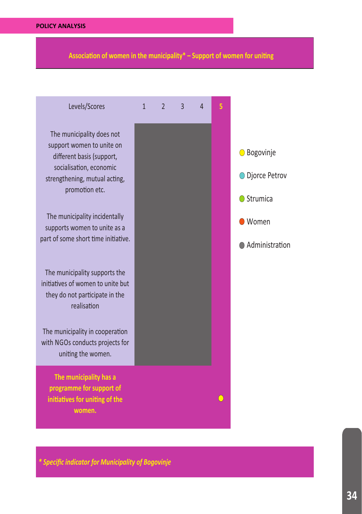Association of women in the municipality<sup>\*</sup> – Support of women for uniting



*\* Specific indicator for Municipality of Bogovinje*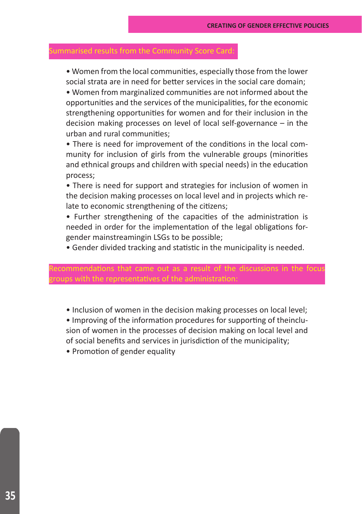• Women from the local communities, especially those from the lower social strata are in need for better services in the social care domain;

• Women from marginalized communities are not informed about the opportunities and the services of the municipalities, for the economic strengthening opportunities for women and for their inclusion in the decision making processes on level of local self-governance – in the urban and rural communities;

• There is need for improvement of the conditions in the local community for inclusion of girls from the vulnerable groups (minorities and ethnical groups and children with special needs) in the education process;

• There is need for support and strategies for inclusion of women in the decision making processes on local level and in projects which relate to economic strengthening of the citizens;

• Further strengthening of the capacities of the administration is needed in order for the implementation of the legal obligations forgender mainstreamingin LSGs to be possible;

• Gender divided tracking and statistic in the municipality is needed.

#### nmendations that came out as a result of the discussions in the foci e representatives of the administration

• Inclusion of women in the decision making processes on local level;

• Improving of the information procedures for supporting of theinclusion of women in the processes of decision making on local level and of social benefits and services in jurisdiction of the municipality;

• Promotion of gender equality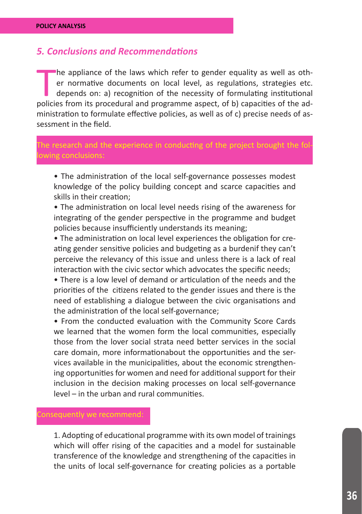# *5. Conclusions and Recommendations*

The appliance of the laws which refer to gender equality as well as other normative documents on local level, as regulations, strategies etc.<br>depends on: a) recognition of the necessity of formulating institutional<br>policie he appliance of the laws which refer to gender equality as well as other normative documents on local level, as regulations, strategies etc. depends on: a) recognition of the necessity of formulating institutional ministration to formulate effective policies, as well as of c) precise needs of assessment in the field.

# e research and the experience in conducting of the project brought the fo

• The administration of the local self-governance possesses modest knowledge of the policy building concept and scarce capacities and skills in their creation;

• The administration on local level needs rising of the awareness for integrating of the gender perspective in the programme and budget policies because insufficiently understands its meaning;

• The administration on local level experiences the obligation for creating gender sensitive policies and budgeting as a burdenif they can't perceive the relevancy of this issue and unless there is a lack of real interaction with the civic sector which advocates the specific needs;

• There is a low level of demand or articulation of the needs and the priorities of the citizens related to the gender issues and there is the need of establishing a dialogue between the civic organisations and the administration of the local self-governance;

• From the conducted evaluation with the Community Score Cards we learned that the women form the local communities, especially those from the lover social strata need better services in the social care domain, more informationabout the opportunities and the services available in the municipalities, about the economic strengthening opportunities for women and need for additional support for their inclusion in the decision making processes on local self-governance level – in the urban and rural communities.

1. Adopting of educational programme with its own model of trainings which will offer rising of the capacities and a model for sustainable transference of the knowledge and strengthening of the capacities in the units of local self-governance for creating policies as a portable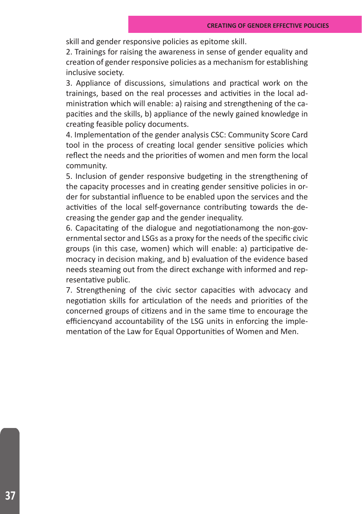skill and gender responsive policies as epitome skill.

2. Trainings for raising the awareness in sense of gender equality and creation of gender responsive policies as a mechanism for establishing inclusive society.

3. Appliance of discussions, simulations and practical work on the trainings, based on the real processes and activities in the local administration which will enable: a) raising and strengthening of the capacities and the skills, b) appliance of the newly gained knowledge in creating feasible policy documents.

4. Implementation of the gender analysis CSC: Community Score Card tool in the process of creating local gender sensitive policies which reflect the needs and the priorities of women and men form the local community.

5. Inclusion of gender responsive budgeting in the strengthening of the capacity processes and in creating gender sensitive policies in order for substantial influence to be enabled upon the services and the activities of the local self-governance contributing towards the decreasing the gender gap and the gender inequality.

6. Capacitating of the dialogue and negotiationamong the non-governmental sector and LSGs as a proxy for the needs of the specific civic groups (in this case, women) which will enable: a) participative democracy in decision making, and b) evaluation of the evidence based needs steaming out from the direct exchange with informed and representative public.

7. Strengthening of the civic sector capacities with advocacy and negotiation skills for articulation of the needs and priorities of the concerned groups of citizens and in the same time to encourage the efficiencyand accountability of the LSG units in enforcing the implementation of the Law for Equal Opportunities of Women and Men.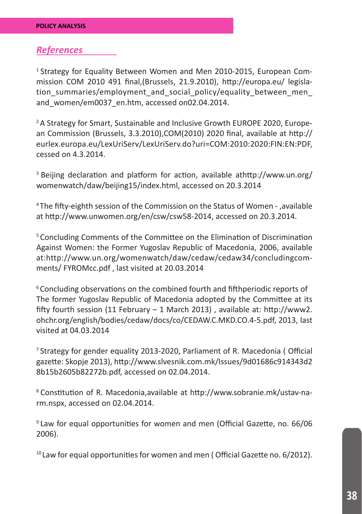# *References*

<sup>1</sup> Strategy for Equality Between Women and Men 2010-2015, European Commission COM 2010 491 final,(Brussels, 21.9.2010), http://europa.eu/ legislation summaries/employment and social policy/equality\_between\_men\_ and women/em0037 en.htm, accessed on02.04.2014.

<sup>2</sup> A Strategy for Smart, Sustainable and Inclusive Growth EUROPE 2020, European Commission (Brussels, 3.3.2010),COM(2010) 2020 final, available at http:// eurlex.europa.eu/LexUriServ/LexUriServ.do?uri=COM:2010:2020:FIN:EN:PDF, cessed on 4.3.2014.

<sup>3</sup> Beijing declaration and platform for action, available athttp://www.un.org/ womenwatch/daw/beijing15/index.html, accessed on 20.3.2014

4 The fifty-eighth session of the Commission on the Status of Women - ,available at http://www.unwomen.org/en/csw/csw58-2014, accessed on 20.3.2014.

5 Concluding Comments of the Committee on the Elimination of Discrimination Against Women: the Former Yugoslav Republic of Macedonia, 2006, available at:http://www.un.org/womenwatch/daw/cedaw/cedaw34/concludingcomments/ FYROMcc.pdf , last visited at 20.03.2014

6 Concluding observations on the combined fourth and fifthperiodic reports of The former Yugoslav Republic of Macedonia adopted by the Committee at its fifty fourth session (11 February – 1 March 2013) , available at: http://www2. ohchr.org/english/bodies/cedaw/docs/co/CEDAW.C.MKD.CO.4-5.pdf, 2013, last visited at 04.03.2014

7 Strategy for gender equality 2013-2020, Parliament of R. Macedonia ( Official gazette: Skopje 2013), http://www.slvesnik.com.mk/Issues/9d01686c914343d2 8b15b2605b82272b.pdf, accessed on 02.04.2014.

8 Constitution of R. Macedonia,available at http://www.sobranie.mk/ustav-narm.nspx, accessed on 02.04.2014.

9 Law for equal opportunities for women and men (Official Gazette, no. 66/06 2006).

 $10$  Law for equal opportunities for women and men (Official Gazette no.  $6/2012$ ).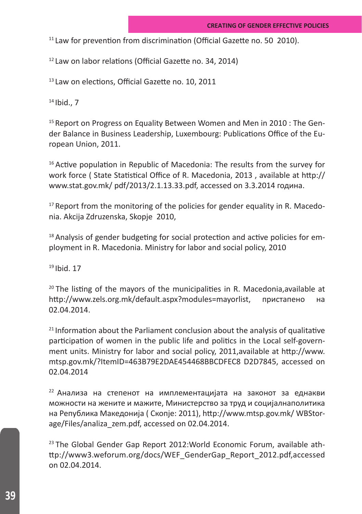<sup>11</sup> Law for prevention from discrimination (Official Gazette no. 50 2010).

12 Law on labor relations (Official Gazette no. 34, 2014)

<sup>13</sup>Law on elections, Official Gazette no. 10, 2011

 $14$  Ibid.,  $7$ 

<sup>15</sup> Report on Progress on Equality Between Women and Men in 2010 : The Gender Balance in Business Leadership, Luxembourg: Publications Office of the European Union, 2011.

 $16$  Active population in Republic of Macedonia: The results from the survey for work force ( State Statistical Office of R. Macedonia, 2013 , available at http:// www.stat.gov.mk/ pdf/2013/2.1.13.33.pdf, accessed on 3.3.2014 година.

 $17$  Report from the monitoring of the policies for gender equality in R. Macedonia. Akcija Zdruzenska, Skopje 2010,

<sup>18</sup> Analysis of gender budgeting for social protection and active policies for employment in R. Macedonia. Ministry for labor and social policy, 2010

19 Ibid. 17

 $20$  The listing of the mayors of the municipalities in R. Macedonia, available at http://www.zels.org.mk/default.aspx?modules=mayorlist, пристапено на 02.04.2014.

 $21$  Information about the Parliament conclusion about the analysis of qualitative participation of women in the public life and politics in the Local self-government units. Ministry for labor and social policy, 2011,available at http://www. mtsp.gov.mk/?ItemID=463B79E2DAE454468BBCDFEC8 D2D7845, accessed on 02.04.2014

22 Анализа на степенот на имплементацијата на законот за еднакви можности на жените и мажите, Министерство за труд и социјалнаполитика на Република Македонија ( Скопје: 2011), http://www.mtsp.gov.mk/ WBStorage/Files/analiza\_zem.pdf, accessed on 02.04.2014.

<sup>23</sup> The Global Gender Gap Report 2012: World Economic Forum, available athttp://www3.weforum.org/docs/WEF\_GenderGap\_Report\_2012.pdf,accessed on 02.04.2014.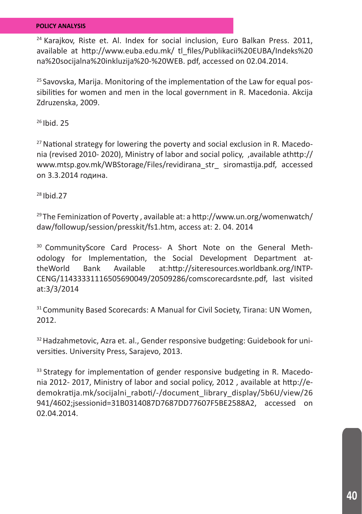<sup>24</sup> Karajkov, Riste et. Al. Index for social inclusion, Euro Balkan Press. 2011, available at http://www.euba.edu.mk/ tl\_files/Publikacii%20EUBA/Indeks%20 na%20socijalna%20inkluzija%20-%20WEB. pdf, accessed on 02.04.2014.

25 Savovska, Marija. Monitoring of the implementation of the Law for equal possibilities for women and men in the local government in R. Macedonia. Akcija Zdruzenska, 2009.

26 Ibid. 25

 $27$  National strategy for lowering the poverty and social exclusion in R. Macedonia (revised 2010- 2020), Ministry of labor and social policy, ,available athttp:// www.mtsp.gov.mk/WBStorage/Files/revidirana\_str\_ siromastija.pdf, accessed on 3.3.2014 година.

28 Ibid.27

 $29$  The Feminization of Poverty, available at: a http://www.un.org/womenwatch/ daw/followup/session/presskit/fs1.htm, access at: 2. 04. 2014

<sup>30</sup> CommunityScore Card Process- A Short Note on the General Methodology for Implementation, the Social Development Department attheWorld Bank Available at:http://siteresources.worldbank.org/INTP-CENG/11433331116505690049/20509286/comscorecardsnte.pdf, last visited at:3/3/2014

<sup>31</sup> Community Based Scorecards: A Manual for Civil Society, Tirana: UN Women, 2012.

<sup>32</sup> Hadzahmetovic, Azra et. al., Gender responsive budgeting: Guidebook for universities. University Press, Sarajevo, 2013.

<sup>33</sup> Strategy for implementation of gender responsive budgeting in R. Macedonia 2012- 2017, Ministry of labor and social policy, 2012 , available at http://edemokratija.mk/socijalni\_raboti/-/document\_library\_display/5b6U/view/26 941/4602;jsessionid=31B0314087D7687DD77607F5BE2588A2, accessed on 02.04.2014.